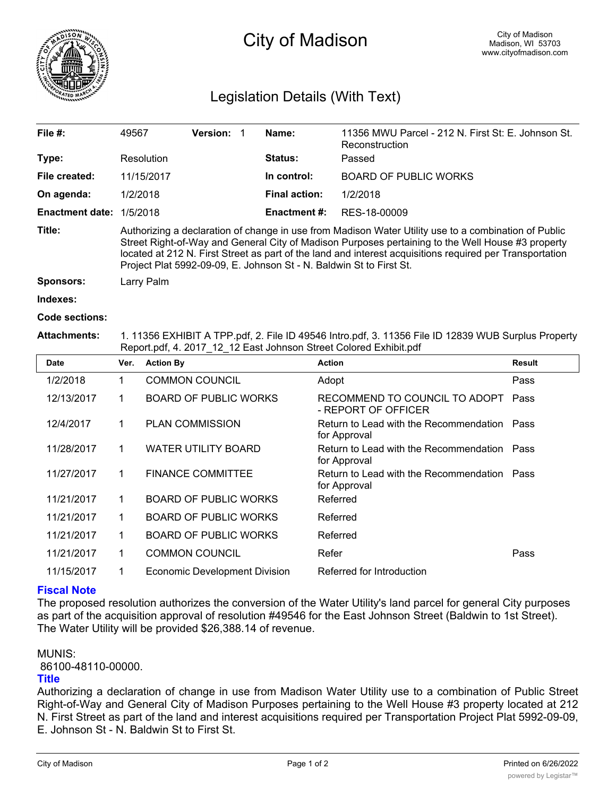

# City of Madison

## Legislation Details (With Text)

| File $#$ :             | 49567                                                                                                                                                                                                                                                                                                                                                                                        | <b>Version:</b> |  | Name:                | 11356 MWU Parcel - 212 N. First St: E. Johnson St.<br>Reconstruction |  |  |
|------------------------|----------------------------------------------------------------------------------------------------------------------------------------------------------------------------------------------------------------------------------------------------------------------------------------------------------------------------------------------------------------------------------------------|-----------------|--|----------------------|----------------------------------------------------------------------|--|--|
| Type:                  | Resolution                                                                                                                                                                                                                                                                                                                                                                                   |                 |  | <b>Status:</b>       | Passed                                                               |  |  |
| File created:          | 11/15/2017                                                                                                                                                                                                                                                                                                                                                                                   |                 |  | In control:          | <b>BOARD OF PUBLIC WORKS</b>                                         |  |  |
| On agenda:             | 1/2/2018                                                                                                                                                                                                                                                                                                                                                                                     |                 |  | <b>Final action:</b> | 1/2/2018                                                             |  |  |
| <b>Enactment date:</b> | 1/5/2018                                                                                                                                                                                                                                                                                                                                                                                     |                 |  | Enactment #:         | RES-18-00009                                                         |  |  |
| Title:                 | Authorizing a declaration of change in use from Madison Water Utility use to a combination of Public<br>Street Right-of-Way and General City of Madison Purposes pertaining to the Well House #3 property<br>located at 212 N. First Street as part of the land and interest acquisitions required per Transportation<br>Project Plat 5992-09-09, E. Johnson St - N. Baldwin St to First St. |                 |  |                      |                                                                      |  |  |
| <b>Sponsors:</b>       | Larry Palm                                                                                                                                                                                                                                                                                                                                                                                   |                 |  |                      |                                                                      |  |  |
| Indexes:               |                                                                                                                                                                                                                                                                                                                                                                                              |                 |  |                      |                                                                      |  |  |
| Code sections:         |                                                                                                                                                                                                                                                                                                                                                                                              |                 |  |                      |                                                                      |  |  |
|                        |                                                                                                                                                                                                                                                                                                                                                                                              |                 |  |                      |                                                                      |  |  |

**Attachments:** 1. 11356 EXHIBIT A TPP.pdf, 2. File ID 49546 Intro.pdf, 3. 11356 File ID 12839 WUB Surplus Property Report.pdf, 4. 2017\_12\_12 East Johnson Street Colored Exhibit.pdf

| <b>Date</b> | Ver. | <b>Action By</b>                     | <b>Action</b>                                               | <b>Result</b> |
|-------------|------|--------------------------------------|-------------------------------------------------------------|---------------|
| 1/2/2018    | 1    | <b>COMMON COUNCIL</b>                | Adopt                                                       | Pass          |
| 12/13/2017  | 1    | <b>BOARD OF PUBLIC WORKS</b>         | RECOMMEND TO COUNCIL TO ADOPT<br>- REPORT OF OFFICER        | Pass          |
| 12/4/2017   | 1    | <b>PLAN COMMISSION</b>               | Return to Lead with the Recommendation Pass<br>for Approval |               |
| 11/28/2017  | 1    | <b>WATER UTILITY BOARD</b>           | Return to Lead with the Recommendation Pass<br>for Approval |               |
| 11/27/2017  | 1    | <b>FINANCE COMMITTEE</b>             | Return to Lead with the Recommendation Pass<br>for Approval |               |
| 11/21/2017  | 1    | <b>BOARD OF PUBLIC WORKS</b>         | Referred                                                    |               |
| 11/21/2017  | 1    | <b>BOARD OF PUBLIC WORKS</b>         | Referred                                                    |               |
| 11/21/2017  | 1    | <b>BOARD OF PUBLIC WORKS</b>         | Referred                                                    |               |
| 11/21/2017  | 1    | <b>COMMON COUNCIL</b>                | Refer                                                       | Pass          |
| 11/15/2017  | 1    | <b>Economic Development Division</b> | Referred for Introduction                                   |               |

#### **Fiscal Note**

The proposed resolution authorizes the conversion of the Water Utility's land parcel for general City purposes as part of the acquisition approval of resolution #49546 for the East Johnson Street (Baldwin to 1st Street). The Water Utility will be provided \$26,388.14 of revenue.

MUNIS:

86100-48110-00000.

#### **Title**

Authorizing a declaration of change in use from Madison Water Utility use to a combination of Public Street Right-of-Way and General City of Madison Purposes pertaining to the Well House #3 property located at 212 N. First Street as part of the land and interest acquisitions required per Transportation Project Plat 5992-09-09, E. Johnson St - N. Baldwin St to First St.